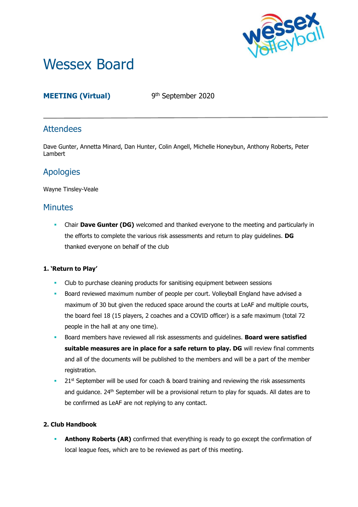

# Wessex Board

# **MEETING (Virtual)** 9

9<sup>th</sup> September 2020

## **Attendees**

Dave Gunter, Annetta Minard, Dan Hunter, Colin Angell, Michelle Honeybun, Anthony Roberts, Peter Lambert

# Apologies

Wayne Tinsley-Veale

## **Minutes**

**• Chair Dave Gunter (DG)** welcomed and thanked everyone to the meeting and particularly in the efforts to complete the various risk assessments and return to play guidelines. **DG** thanked everyone on behalf of the club

## **1. 'Return to Play'**

- Club to purchase cleaning products for sanitising equipment between sessions
- **Board reviewed maximum number of people per court. Volleyball England have advised a** maximum of 30 but given the reduced space around the courts at LeAF and multiple courts, the board feel 18 (15 players, 2 coaches and a COVID officer) is a safe maximum (total 72 people in the hall at any one time).
- Board members have reviewed all risk assessments and guidelines. **Board were satisfied suitable measures are in place for a safe return to play. DG** will review final comments and all of the documents will be published to the members and will be a part of the member registration.
- **•** 21st September will be used for coach & board training and reviewing the risk assessments and guidance. 24<sup>th</sup> September will be a provisional return to play for squads. All dates are to be confirmed as LeAF are not replying to any contact.

## **2. Club Handbook**

**Anthony Roberts (AR)** confirmed that everything is ready to go except the confirmation of local league fees, which are to be reviewed as part of this meeting.